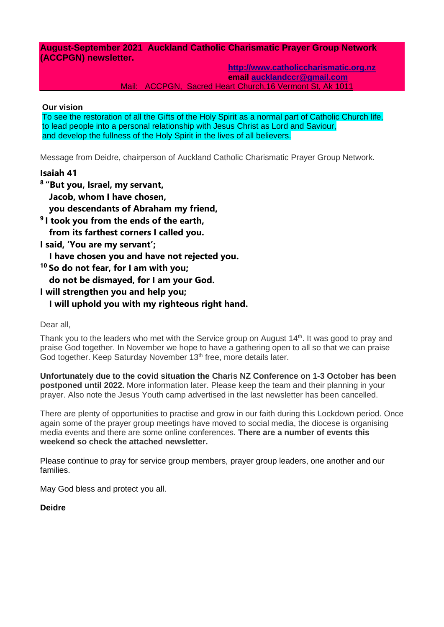**August-September 2021 Auckland Catholic Charismatic Prayer Group Network (ACCPGN) newsletter.**

> **[http://www.catholiccharismatic.org.nz](http://www.catholiccharismatic.org.nz/)  email [aucklandccr@gmail.com](mailto:aucklandccr@gmail.com)**

Mail: ACCPGN, Sacred Heart Church,16 Vermont St, Ak 1011

#### **Our vision**

To see the restoration of all the Gifts of the Holy Spirit as a normal part of Catholic Church life, to lead people into a personal relationship with Jesus Christ as Lord and Saviour, and develop the fullness of the Holy Spirit in the lives of all believers.

Message from Deidre, chairperson of Auckland Catholic Charismatic Prayer Group Network.

### **Isaiah 41**

**8 "But you, Israel, my servant, Jacob, whom I have chosen, you descendants of Abraham my friend, 9 I took you from the ends of the earth, from its farthest corners I called you. I said, 'You are my servant'; I have chosen you and have not rejected you. <sup>10</sup> So do not fear, for I am with you; do not be dismayed, for I am your God. I will strengthen you and help you;**

# **I will uphold you with my righteous right hand.**

### Dear all,

Thank you to the leaders who met with the Service group on August  $14<sup>th</sup>$ . It was good to pray and praise God together. In November we hope to have a gathering open to all so that we can praise God together. Keep Saturday November 13<sup>th</sup> free, more details later.

**Unfortunately due to the covid situation the Charis NZ Conference on 1-3 October has been postponed until 2022.** More information later. Please keep the team and their planning in your prayer. Also note the Jesus Youth camp advertised in the last newsletter has been cancelled.

There are plenty of opportunities to practise and grow in our faith during this Lockdown period. Once again some of the prayer group meetings have moved to social media, the diocese is organising media events and there are some online conferences. **There are a number of events this weekend so check the attached newsletter.**

Please continue to pray for service group members, prayer group leaders, one another and our families.

May God bless and protect you all.

### **Deidre**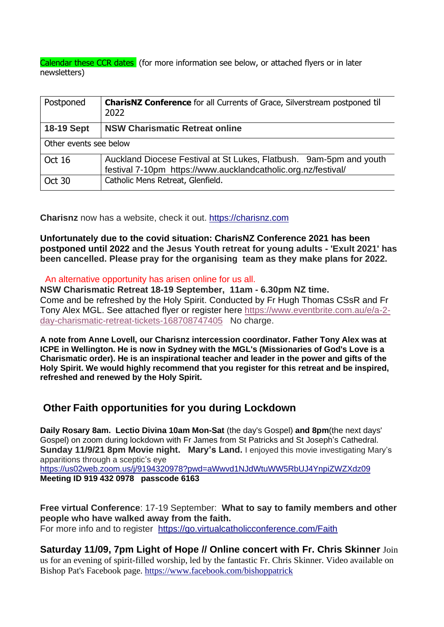Calendar these CCR dates (for more information see below, or attached flyers or in later newsletters)

| Postponed              | <b>CharisNZ Conference</b> for all Currents of Grace, Silverstream postponed til<br>2022                                            |
|------------------------|-------------------------------------------------------------------------------------------------------------------------------------|
| <b>18-19 Sept</b>      | <b>NSW Charismatic Retreat online</b>                                                                                               |
| Other events see below |                                                                                                                                     |
| Oct 16                 | Auckland Diocese Festival at St Lukes, Flatbush. 9am-5pm and youth<br>festival 7-10pm https://www.aucklandcatholic.org.nz/festival/ |
| Oct 30                 | Catholic Mens Retreat, Glenfield.                                                                                                   |

**Charisnz** now has a website, check it out. [https://charisnz.com](https://charisnz.com/)

**Unfortunately due to the covid situation: CharisNZ Conference 2021 has been postponed until 2022 and the Jesus Youth retreat for young adults - 'Exult 2021' has been cancelled. Please pray for the organising team as they make plans for 2022.**

An alternative opportunity has arisen online for us all.

**NSW Charismatic Retreat 18-19 September, 11am - 6.30pm NZ time.** Come and be refreshed by the Holy Spirit. Conducted by Fr Hugh Thomas CSsR and Fr Tony Alex MGL. See attached flyer or register here [https://www.eventbrite.com.au/e/a-2](https://www.eventbrite.com.au/e/a-2-day-charismatic-retreat-tickets-168708747405) [day-charismatic-retreat-tickets-168708747405](https://www.eventbrite.com.au/e/a-2-day-charismatic-retreat-tickets-168708747405) No charge.

**A note from Anne Lovell, our Charisnz intercession coordinator. Father Tony Alex was at ICPE in Wellington. He is now in Sydney with the MGL's (Missionaries of God's Love is a Charismatic order). He is an inspirational teacher and leader in the power and gifts of the Holy Spirit. We would highly recommend that you register for this retreat and be inspired, refreshed and renewed by the Holy Spirit.**

# **Other Faith opportunities for you during Lockdown**

**Daily Rosary 8am. Lectio Divina 10am Mon-Sat** (the day's Gospel) **and 8pm**(the next days' Gospel) on zoom during lockdown with Fr James from St Patricks and St Joseph's Cathedral. **Sunday 11/9/21 8pm Movie night. Mary's Land.** I enjoyed this movie investigating Mary's apparitions through a sceptic's eye <https://us02web.zoom.us/j/9194320978?pwd=aWwvd1NJdWtuWW5RbUJ4YnpiZWZXdz09>

**Meeting ID 919 432 0978 passcode 6163**

**Free virtual Conference**: 17-19 September: **What to say to family members and other people who have walked away from the faith.** For more info and to register <https://go.virtualcatholicconference.com/Faith>

**Saturday 11/09, 7pm Light of Hope // Online concert with Fr. Chris Skinner** Join us for an evening of spirit-filled worship, led by the fantastic Fr. Chris Skinner. Video available on Bishop Pat's Facebook page.<https://www.facebook.com/bishoppatrick>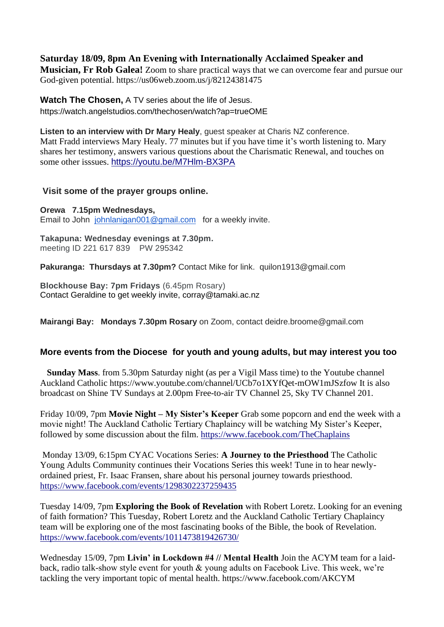**Saturday 18/09, 8pm An Evening with Internationally Acclaimed Speaker and** 

**Musician, Fr Rob Galea!** Zoom to share practical ways that we can overcome fear and pursue our God-given potential. https://us06web.zoom.us/j/82124381475

**Watch The Chosen,** A TV series about the life of Jesus. https://watch.angelstudios.com/thechosen/watch?ap=trueOME

**Listen to an interview with Dr Mary Healy**, guest speaker at Charis NZ conference. Matt Fradd interviews Mary Healy. 77 minutes but if you have time it's worth listening to. Mary shares her testimony, answers various questions about the Charismatic Renewal, and touches on some other isssues. <https://youtu.be/M7Hlm-BX3PA>

## **Visit some of the prayer groups online.**

**Orewa 7.15pm Wednesdays,** Email to John [johnlanigan001@gmail.com](mailto:johnlanigan001@gmail.com) for a weekly invite.

**Takapuna: Wednesday evenings at 7.30pm.** meeting ID 221 617 839 PW 295342

**Pakuranga: Thursdays at 7.30pm?** Contact Mike for link. quilon1913@gmail.com

**Blockhouse Bay: 7pm Fridays** (6.45pm Rosary) Contact Geraldine to get weekly invite, corray@tamaki.ac.nz

**Mairangi Bay: Mondays 7.30pm Rosary** on Zoom, contact deidre.broome@gmail.com

## **More events from the Diocese for youth and young adults, but may interest you too**

**Sunday Mass**. from 5.30pm Saturday night (as per a Vigil Mass time) to the Youtube channel Auckland Catholic https://www.youtube.com/channel/UCb7o1XYfQet-mOW1mJSzfow It is also broadcast on Shine TV Sundays at 2.00pm Free-to-air TV Channel 25, Sky TV Channel 201.

Friday 10/09, 7pm **Movie Night – My Sister's Keeper** Grab some popcorn and end the week with a movie night! The Auckland Catholic Tertiary Chaplaincy will be watching My Sister's Keeper, followed by some discussion about the film.<https://www.facebook.com/TheChaplains>

Monday 13/09, 6:15pm CYAC Vocations Series: **A Journey to the Priesthood** The Catholic Young Adults Community continues their Vocations Series this week! Tune in to hear newlyordained priest, Fr. Isaac Fransen, share about his personal journey towards priesthood. <https://www.facebook.com/events/1298302237259435>

Tuesday 14/09, 7pm **Exploring the Book of Revelation** with Robert Loretz. Looking for an evening of faith formation? This Tuesday, Robert Loretz and the Auckland Catholic Tertiary Chaplaincy team will be exploring one of the most fascinating books of the Bible, the book of Revelation. <https://www.facebook.com/events/1011473819426730/>

Wednesday 15/09, 7pm **Livin' in Lockdown #4 // Mental Health** Join the ACYM team for a laidback, radio talk-show style event for youth & young adults on Facebook Live. This week, we're tackling the very important topic of mental health. https://www.facebook.com/AKCYM